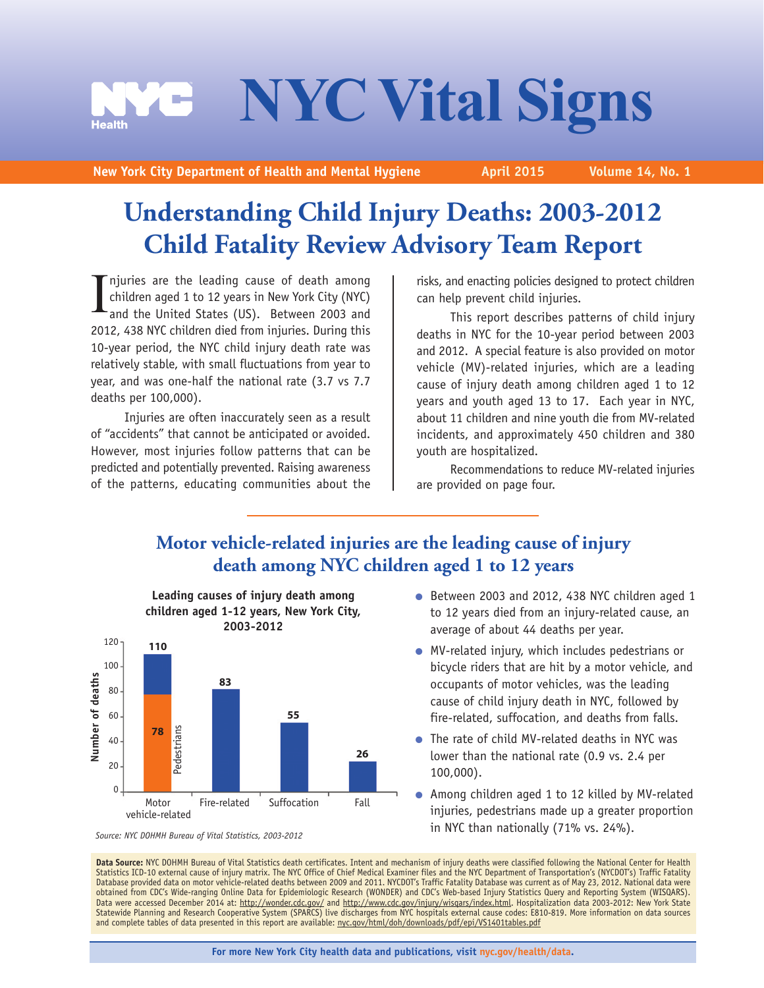# **NYC Vital Signs**<br>at of Health and Mental Hygiene April 2015 Volume 14, No. 1

**New York City Department of Health and Mental Hygiene** 

# **Understanding Child Injury Deaths: 2003-2012 Child Fatality Review Advisory Team Report**

I njuries are the leading cause of death among children aged 1 to 12 years in New York City (NYC) and the United States (US). Between 2003 and 2012, 438 NYC children died from injuries. During this 10-year period, the NYC child injury death rate was relatively stable, with small fluctuations from year to year, and was one-half the national rate (3.7 vs 7.7 deaths per 100,000).

Injuries are often inaccurately seen as a result of "accidents" that cannot be anticipated or avoided. However, most injuries follow patterns that can be predicted and potentially prevented. Raising awareness of the patterns, educating communities about the

risks, and enacting policies designed to protect children can help prevent child injuries.

This report describes patterns of child injury deaths in NYC for the 10-year period between 2003 and 2012. A special feature is also provided on motor vehicle (MV)-related injuries, which are a leading cause of injury death among children aged 1 to 12 years and youth aged 13 to 17. Each year in NYC, about 11 children and nine youth die from MV-related incidents, and approximately 450 children and 380 youth are hospitalized.

Recommendations to reduce MV-related injuries are provided on page four.

# **Motor vehicle-related injuries are the leading cause of injury death among NYC children aged 1 to 12 years**



- Between 2003 and 2012, 438 NYC children aged 1 to 12 years died from an injury-related cause, an average of about 44 deaths per year.
- MV-related injury, which includes pedestrians or bicycle riders that are hit by a motor vehicle, and occupants of motor vehicles, was the leading cause of child injury death in NYC, followed by fire-related, suffocation, and deaths from falls.
- The rate of child MV-related deaths in NYC was lower than the national rate (0.9 vs. 2.4 per 100,000).
- Among children aged 1 to 12 killed by MV-related injuries, pedestrians made up a greater proportion in NYC than nationally (71% vs. 24%).

Data Source: NYC DOHMH Bureau of Vital Statistics death certificates. Intent and mechanism of injury deaths were classified following the National Center for Health Statistics ICD-10 external cause of injury matrix. The NYC Office of Chief Medical Examiner files and the NYC Department of Transportation's (NYCDOT's) Traffic Fatality Database provided data on motor vehicle-related deaths between 2009 and 2011. NYCDOT's Traffic Fatality Database was current as of May 23, 2012. National data were obtained from CDC's Wide-ranging Online Data for Epidemiologic Research (WONDER) and CDC's Web-based Injury Statistics Query and Reporting System (WISQARS). Data were accessed December 2014 at: http://wonder.cdc.gov/ and http://www.cdc.gov/injury/wisqars/index.html. Hospitalization data 2003-2012: New York State Statewide Planning and Research Cooperative System (SPARCS) live discharges from NYC hospitals external cause codes: E810-819. More information on data sources<br>and complete tables of data presented in this report are avail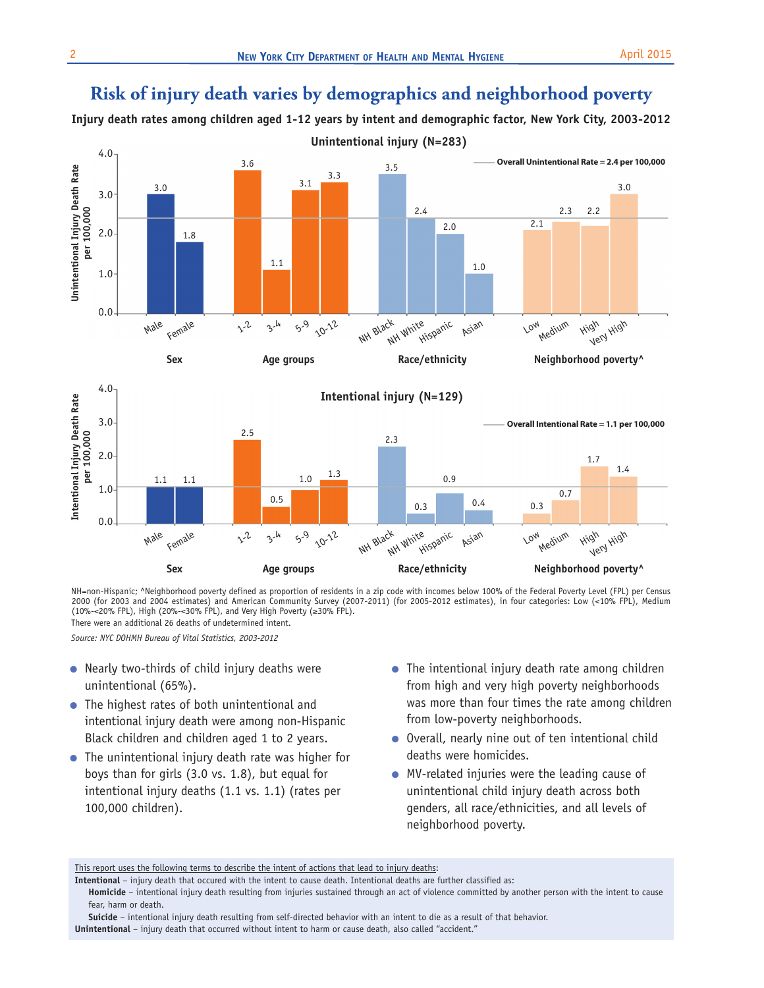# **Risk of injury death varies by demographics and neighborhood poverty**

**Injury death rates among children aged 1-12 years by intent and demographic factor, New York City, 2003-2012 Unintentional injury (N=283)**



NH=non-Hispanic; ^Neighborhood poverty defined as proportion of residents in a zip code with incomes below 100% of the Federal Poverty Level (FPL) per Census 2000 (for 2003 and 2004 estimates) and American Community Survey (2007-2011) (for 2005-2012 estimates), in four categories: Low (<10% FPL), Medium<br>(10%-<20% FPL), High (20%-<30% FPL), and Very High Poverty (≥30% FPL). There were an additional 26 deaths of undetermined intent.

*Source: NYC DOHMH Bureau of Vital Statistics, 2003-2012* 

- Nearly two-thirds of child injury deaths were unintentional (65%).
- The highest rates of both unintentional and intentional injury death were among non-Hispanic Black children and children aged 1 to 2 years.
- The unintentional injury death rate was higher for boys than for girls (3.0 vs. 1.8), but equal for intentional injury deaths (1.1 vs. 1.1) (rates per 100,000 children).
- The intentional injury death rate among children from high and very high poverty neighborhoods was more than four times the rate among children from low-poverty neighborhoods.
- Overall, nearly nine out of ten intentional child deaths were homicides.
- MV-related injuries were the leading cause of unintentional child injury death across both genders, all race/ethnicities, and all levels of neighborhood poverty.

This report uses the following terms to describe the intent of actions that lead to injury deaths:

**Homicide** – intentional injury death resulting from injuries sustained through an act of violence committed by another person with the intent to cause fear, harm or death.

**Suicide** – intentional injury death resulting from self-directed behavior with an intent to die as a result of that behavior. **Unintentional** – injury death that occurred without intent to harm or cause death, also called "accident."

**Intentional** – injury death that occured with the intent to cause death. Intentional deaths are further classified as: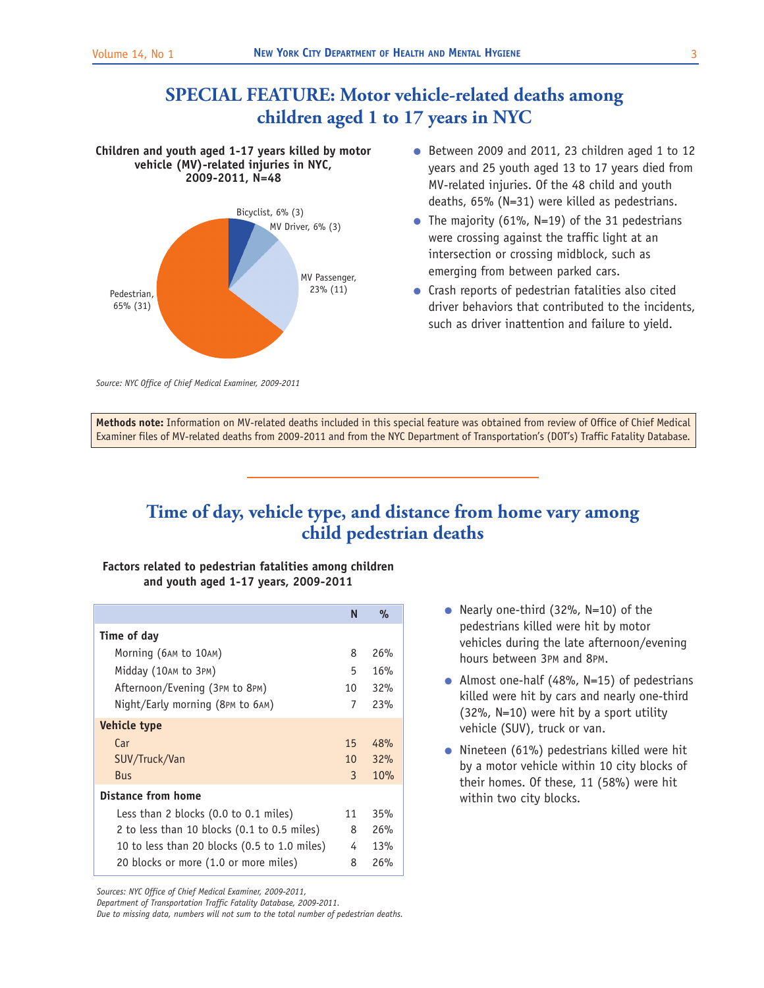# **SPECIAL FEATURE: Motor vehicle-related deaths among children aged 1 to 17 years in NYC**

## **Children and youth aged 1-17 years killed by motor vehicle (MV)-related injuries in NYC, 2009-2011, N=48**



- Between 2009 and 2011, 23 children aged 1 to 12 years and 25 youth aged 13 to 17 years died from MV-related injuries. Of the 48 child and youth deaths, 65% (N=31) were killed as pedestrians.
- The majority (61%,  $N=19$ ) of the 31 pedestrians were crossing against the traffic light at an intersection or crossing midblock, such as emerging from between parked cars.
- Crash reports of pedestrian fatalities also cited driver behaviors that contributed to the incidents, such as driver inattention and failure to yield.

*Source: NYC Office of Chief Medical Examiner, 2009-2011* 

**Methods note:** Information on MV-related deaths included in this special feature was obtained from review of Office of Chief Medical Examiner files of MV-related deaths from 2009-2011 and from the NYC Department of Transportation's (DOT's) Traffic Fatality Database.

## **Time of day, vehicle type, and distance from home vary among child pedestrian deaths**

## **Factors related to pedestrian fatalities among children and youth aged 1-17 years, 2009-2011**

|                                              | N               | $\%$ |
|----------------------------------------------|-----------------|------|
| Time of day                                  |                 |      |
| Morning (6AM to 10AM)                        | 8               | 26%  |
| Midday (10AM to 3PM)                         | 5               | 16%  |
| Afternoon/Evening (3PM to 8PM)               | 10              | 32%  |
| Night/Early morning (8PM to 6AM)             | 7               | 23%  |
| <b>Vehicle type</b>                          |                 |      |
| Car                                          | 15              | 48%  |
| SUV/Truck/Van                                | 10 <sup>1</sup> | 32%  |
| <b>Bus</b>                                   | 3               | 10%  |
| Distance from home                           |                 |      |
| Less than 2 blocks (0.0 to 0.1 miles)        | 11              | 35%  |
| 2 to less than 10 blocks (0.1 to 0.5 miles)  | 8               | 26%  |
| 10 to less than 20 blocks (0.5 to 1.0 miles) | 4               | 13%  |
| 20 blocks or more (1.0 or more miles)        | 8               | 26%  |

<sup>●</sup> Nearly one-third (32%, N=10) of the pedestrians killed were hit by motor vehicles during the late afternoon/evening hours between 3PM and 8PM.

- Almost one-half (48%,  $N=15$ ) of pedestrians killed were hit by cars and nearly one-third (32%, N=10) were hit by a sport utility vehicle (SUV), truck or van.
- Nineteen (61%) pedestrians killed were hit by a motor vehicle within 10 city blocks of their homes. Of these, 11 (58%) were hit within two city blocks.

*Sources: NYC Office of Chief Medical Examiner, 2009-2011,* 

*Department of Transportation Traffic Fatality Database, 2009-2011.* 

*Due to missing data, numbers will not sum to the total number of pedestrian deaths.*